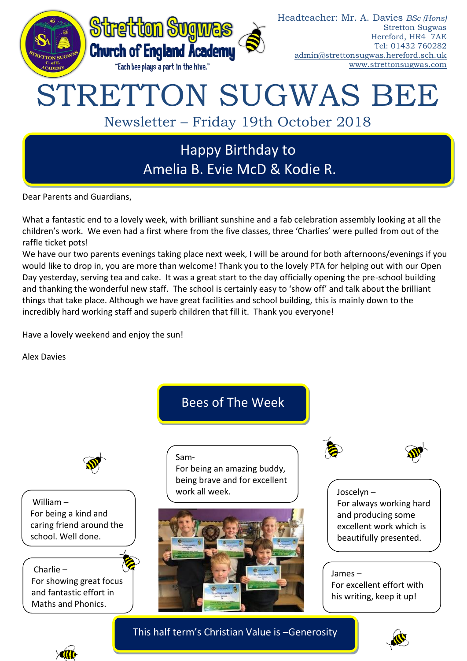

Dear Parents and Guardians,

What a fantastic end to a lovely week, with brilliant sunshine and a fab celebration assembly looking at all the children's work. We even had a first where from the five classes, three 'Charlies' were pulled from out of the raffle ticket pots!

We have our two parents evenings taking place next week, I will be around for both afternoons/evenings if you would like to drop in, you are more than welcome! Thank you to the lovely PTA for helping out with our Open Day yesterday, serving tea and cake. It was a great start to the day officially opening the pre-school building and thanking the wonderful new staff. The school is certainly easy to 'show off' and talk about the brilliant things that take place. Although we have great facilities and school building, this is mainly down to the incredibly hard working staff and superb children that fill it. Thank you everyone!

Have a lovely weekend and enjoy the sun!

Alex Davies



William – For being a kind and caring friend around the school. Well done.

Charlie – For showing great focus and fantastic effort in Maths and Phonics.

This half term's Christian Value is –Generosity